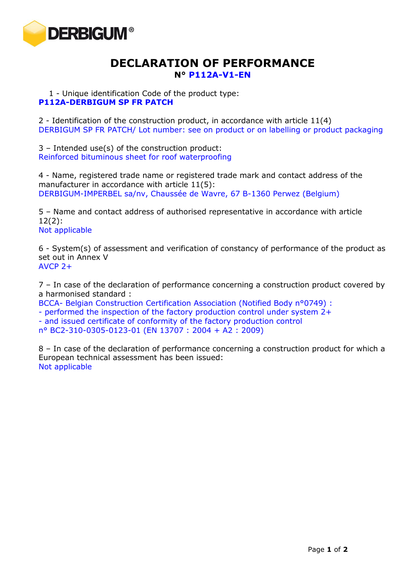

## **DECLARATION OF PERFORMANCE N° P112A-V1-EN**

1 - Unique identification Code of the product type: **P112A-DERBIGUM SP FR PATCH**

2 - Identification of the construction product, in accordance with article 11(4) DERBIGUM SP FR PATCH/ Lot number: see on product or on labelling or product packaging

3 – Intended use(s) of the construction product: Reinforced bituminous sheet for roof waterproofing

4 - Name, registered trade name or registered trade mark and contact address of the manufacturer in accordance with article 11(5): DERBIGUM-IMPERBEL sa/nv, Chaussée de Wavre, 67 B-1360 Perwez (Belgium)

5 – Name and contact address of authorised representative in accordance with article 12(2): Not applicable

6 - System(s) of assessment and verification of constancy of performance of the product as set out in Annex V  $AVCP$  2+

7 – In case of the declaration of performance concerning a construction product covered by a harmonised standard :

BCCA- Belgian Construction Certification Association (Notified Body n°0749) :

- performed the inspection of the factory production control under system 2+

- and issued certificate of conformity of the factory production control

n° BC2-310-0305-0123-01 (EN 13707 : 2004 + A2 : 2009)

8 – In case of the declaration of performance concerning a construction product for which a European technical assessment has been issued: Not applicable